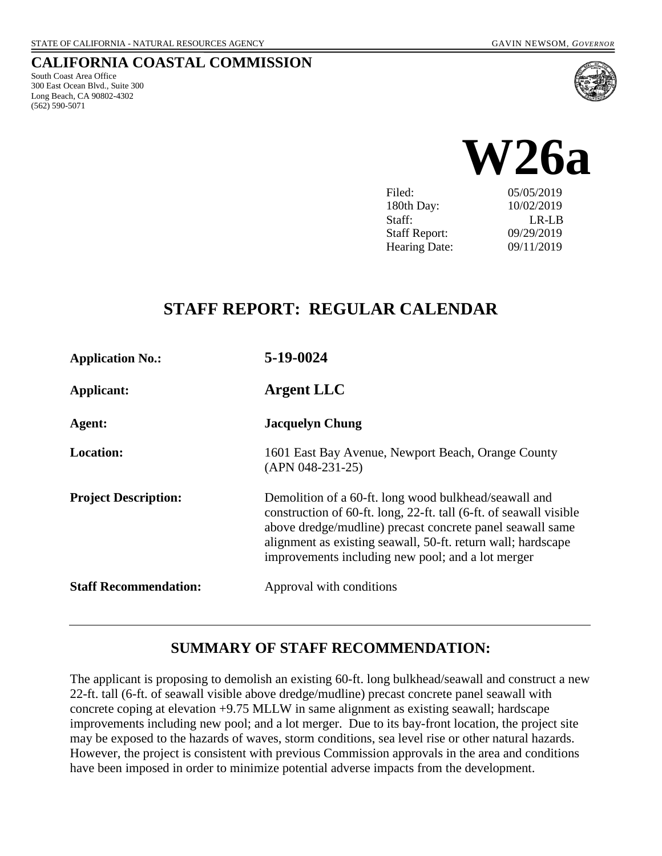#### **CALIFORNIA COASTAL COMMISSION**

South Coast Area Office 300 East Ocean Blvd., Suite 300 Long Beach, CA 90802-4302 (562) 590-5071





| Filed:               | 05/05/2019 |
|----------------------|------------|
| 180th Day:           | 10/02/2019 |
| Staff:               | LR-LB      |
| <b>Staff Report:</b> | 09/29/2019 |
| <b>Hearing Date:</b> | 09/11/2019 |
|                      |            |

# **STAFF REPORT: REGULAR CALENDAR**

| <b>Application No.:</b>      | 5-19-0024                                                                                                                                                                                                                                                                                                     |
|------------------------------|---------------------------------------------------------------------------------------------------------------------------------------------------------------------------------------------------------------------------------------------------------------------------------------------------------------|
| Applicant:                   | <b>Argent LLC</b>                                                                                                                                                                                                                                                                                             |
| Agent:                       | <b>Jacquelyn Chung</b>                                                                                                                                                                                                                                                                                        |
| <b>Location:</b>             | 1601 East Bay Avenue, Newport Beach, Orange County<br>$(APN 048-231-25)$                                                                                                                                                                                                                                      |
| <b>Project Description:</b>  | Demolition of a 60-ft. long wood bulkhead/seawall and<br>construction of 60-ft. long, 22-ft. tall (6-ft. of seawall visible<br>above dredge/mudline) precast concrete panel seawall same<br>alignment as existing seawall, 50-ft. return wall; hardscape<br>improvements including new pool; and a lot merger |
| <b>Staff Recommendation:</b> | Approval with conditions                                                                                                                                                                                                                                                                                      |

### **SUMMARY OF STAFF RECOMMENDATION:**

The applicant is proposing to demolish an existing 60-ft. long bulkhead/seawall and construct a new 22-ft. tall (6-ft. of seawall visible above dredge/mudline) precast concrete panel seawall with concrete coping at elevation +9.75 MLLW in same alignment as existing seawall; hardscape improvements including new pool; and a lot merger. Due to its bay-front location, the project site may be exposed to the hazards of waves, storm conditions, sea level rise or other natural hazards. However, the project is consistent with previous Commission approvals in the area and conditions have been imposed in order to minimize potential adverse impacts from the development.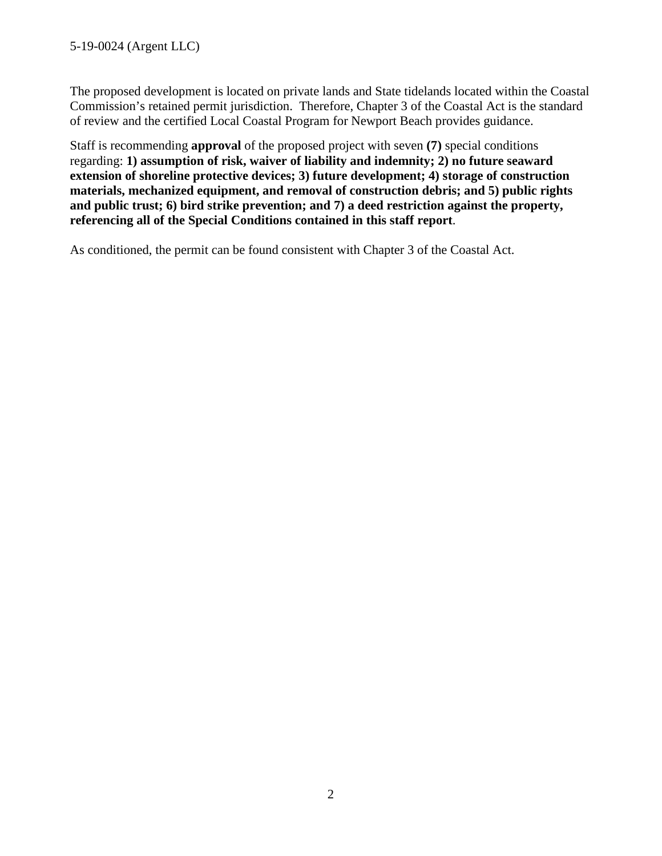The proposed development is located on private lands and State tidelands located within the Coastal Commission's retained permit jurisdiction. Therefore, Chapter 3 of the Coastal Act is the standard of review and the certified Local Coastal Program for Newport Beach provides guidance.

Staff is recommending **approval** of the proposed project with seven **(7)** special conditions regarding: **1) assumption of risk, waiver of liability and indemnity; 2) no future seaward extension of shoreline protective devices; 3) future development; 4) storage of construction materials, mechanized equipment, and removal of construction debris; and 5) public rights and public trust; 6) bird strike prevention; and 7) a deed restriction against the property, referencing all of the Special Conditions contained in this staff report**.

As conditioned, the permit can be found consistent with Chapter 3 of the Coastal Act.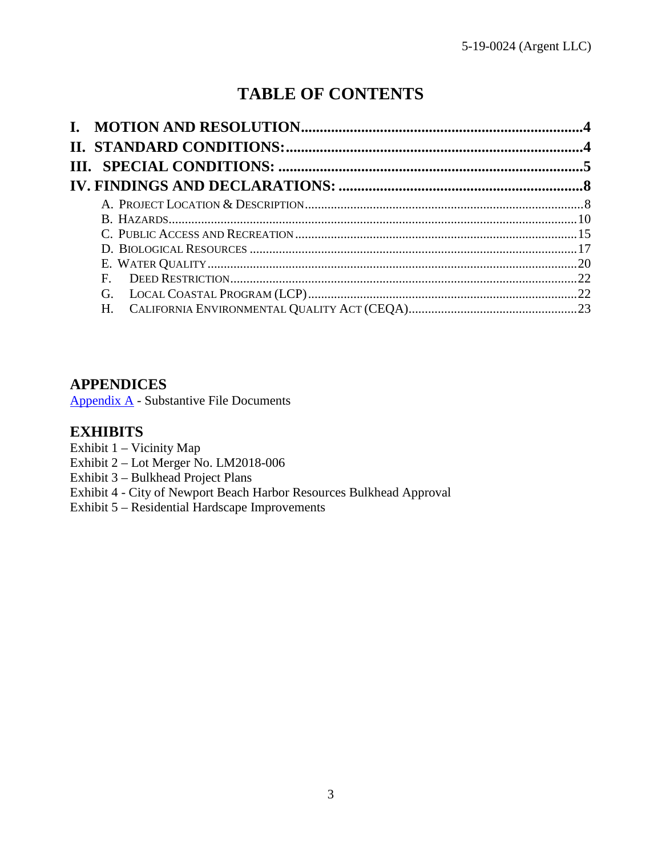# **TABLE OF CONTENTS**

| $F_{\perp}$ |  |
|-------------|--|
| G.          |  |
| $H_{\cdot}$ |  |

# **APPENDICES**

[Appendix A](#page-22-1) - Substantive File Documents

### **EXHIBITS**

- Exhibit 1 Vicinity Map
- Exhibit 2 Lot Merger No. LM2018-006
- Exhibit 3 Bulkhead Project Plans
- [Exhibit 4 City of Newport Beach Harbor Resources Bulkhead Approval](https://documents.coastal.ca.gov/reports/2019/9/W26a/W26a-9-2019-exhibits.pdf)
- Exhibit 5 Residential Hardscape Improvements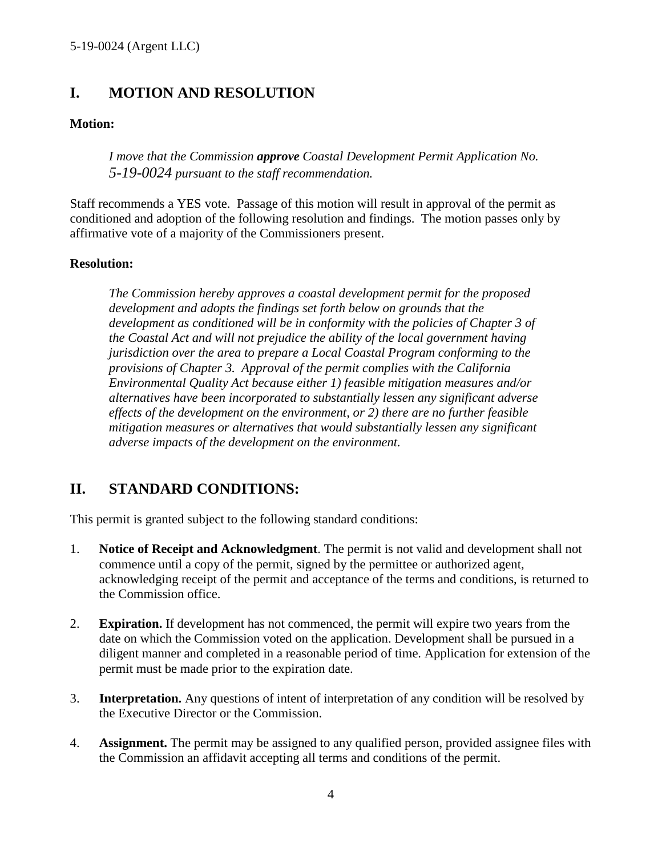# <span id="page-3-0"></span>**I. MOTION AND RESOLUTION**

#### **Motion:**

*I move that the Commission approve Coastal Development Permit Application No. 5-19-0024 pursuant to the staff recommendation.*

Staff recommends a YES vote. Passage of this motion will result in approval of the permit as conditioned and adoption of the following resolution and findings. The motion passes only by affirmative vote of a majority of the Commissioners present.

#### **Resolution:**

*The Commission hereby approves a coastal development permit for the proposed development and adopts the findings set forth below on grounds that the development as conditioned will be in conformity with the policies of Chapter 3 of the Coastal Act and will not prejudice the ability of the local government having jurisdiction over the area to prepare a Local Coastal Program conforming to the provisions of Chapter 3. Approval of the permit complies with the California Environmental Quality Act because either 1) feasible mitigation measures and/or alternatives have been incorporated to substantially lessen any significant adverse effects of the development on the environment, or 2) there are no further feasible mitigation measures or alternatives that would substantially lessen any significant adverse impacts of the development on the environment.* 

# <span id="page-3-1"></span>**II. STANDARD CONDITIONS:**

This permit is granted subject to the following standard conditions:

- 1. **Notice of Receipt and Acknowledgment**. The permit is not valid and development shall not commence until a copy of the permit, signed by the permittee or authorized agent, acknowledging receipt of the permit and acceptance of the terms and conditions, is returned to the Commission office.
- 2. **Expiration.** If development has not commenced, the permit will expire two years from the date on which the Commission voted on the application. Development shall be pursued in a diligent manner and completed in a reasonable period of time. Application for extension of the permit must be made prior to the expiration date.
- 3. **Interpretation.** Any questions of intent of interpretation of any condition will be resolved by the Executive Director or the Commission.
- 4. **Assignment.** The permit may be assigned to any qualified person, provided assignee files with the Commission an affidavit accepting all terms and conditions of the permit.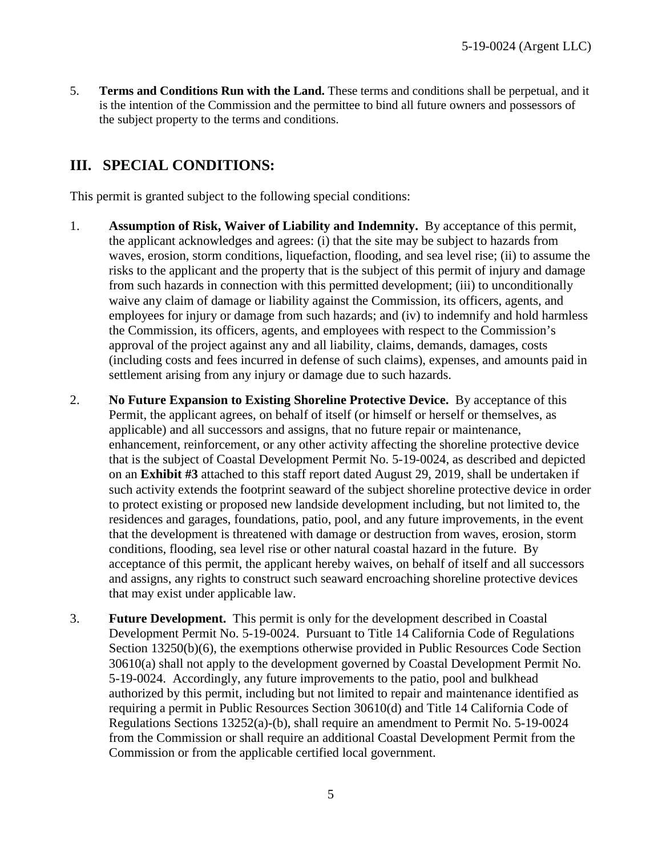5. **Terms and Conditions Run with the Land.** These terms and conditions shall be perpetual, and it is the intention of the Commission and the permittee to bind all future owners and possessors of the subject property to the terms and conditions.

# <span id="page-4-0"></span>**III. SPECIAL CONDITIONS:**

This permit is granted subject to the following special conditions:

- 1. **Assumption of Risk, Waiver of Liability and Indemnity.** By acceptance of this permit, the applicant acknowledges and agrees: (i) that the site may be subject to hazards from waves, erosion, storm conditions, liquefaction, flooding, and sea level rise; (ii) to assume the risks to the applicant and the property that is the subject of this permit of injury and damage from such hazards in connection with this permitted development; (iii) to unconditionally waive any claim of damage or liability against the Commission, its officers, agents, and employees for injury or damage from such hazards; and (iv) to indemnify and hold harmless the Commission, its officers, agents, and employees with respect to the Commission's approval of the project against any and all liability, claims, demands, damages, costs (including costs and fees incurred in defense of such claims), expenses, and amounts paid in settlement arising from any injury or damage due to such hazards.
- 2. **No Future Expansion to Existing Shoreline Protective Device.** By acceptance of this Permit, the applicant agrees, on behalf of itself (or himself or herself or themselves, as applicable) and all successors and assigns, that no future repair or maintenance, enhancement, reinforcement, or any other activity affecting the shoreline protective device that is the subject of Coastal Development Permit No. 5-19-0024, as described and depicted on an **[Exhibit #3](https://documents.coastal.ca.gov/reports/2019/9/W26a/W26a-9-2019-exhibits.pdf)** attached to this staff report dated August 29, 2019, shall be undertaken if such activity extends the footprint seaward of the subject shoreline protective device in order to protect existing or proposed new landside development including, but not limited to, the residences and garages, foundations, patio, pool, and any future improvements, in the event that the development is threatened with damage or destruction from waves, erosion, storm conditions, flooding, sea level rise or other natural coastal hazard in the future. By acceptance of this permit, the applicant hereby waives, on behalf of itself and all successors and assigns, any rights to construct such seaward encroaching shoreline protective devices that may exist under applicable law.
- 3. **Future Development.** This permit is only for the development described in Coastal Development Permit No. 5-19-0024. Pursuant to Title 14 California Code of Regulations Section 13250(b)(6), the exemptions otherwise provided in Public Resources Code Section 30610(a) shall not apply to the development governed by Coastal Development Permit No. 5-19-0024. Accordingly, any future improvements to the patio, pool and bulkhead authorized by this permit, including but not limited to repair and maintenance identified as requiring a permit in Public Resources Section 30610(d) and Title 14 California Code of Regulations Sections 13252(a)-(b), shall require an amendment to Permit No. 5-19-0024 from the Commission or shall require an additional Coastal Development Permit from the Commission or from the applicable certified local government.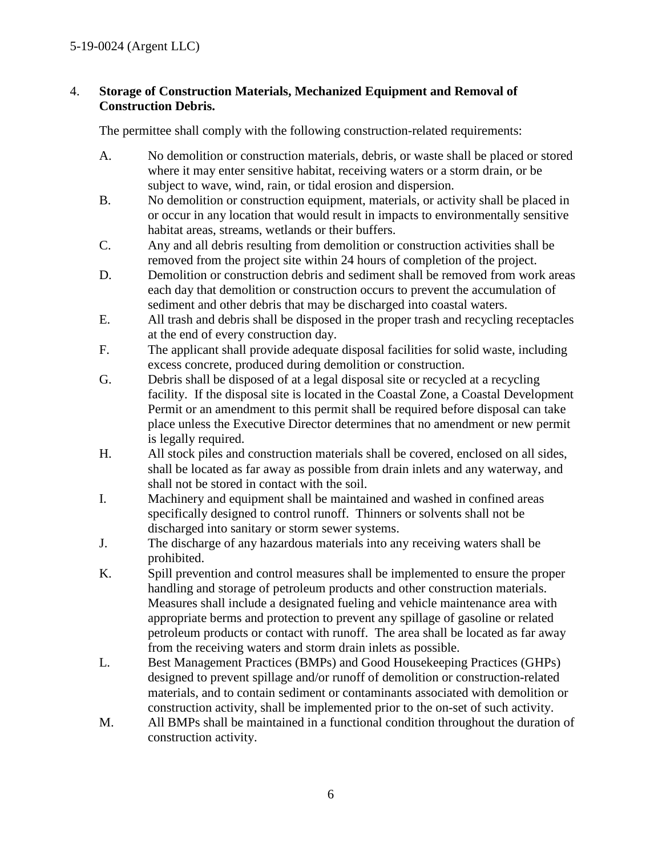#### 4. **Storage of Construction Materials, Mechanized Equipment and Removal of Construction Debris.**

The permittee shall comply with the following construction-related requirements:

- A. No demolition or construction materials, debris, or waste shall be placed or stored where it may enter sensitive habitat, receiving waters or a storm drain, or be subject to wave, wind, rain, or tidal erosion and dispersion.
- B. No demolition or construction equipment, materials, or activity shall be placed in or occur in any location that would result in impacts to environmentally sensitive habitat areas, streams, wetlands or their buffers.
- C. Any and all debris resulting from demolition or construction activities shall be removed from the project site within 24 hours of completion of the project.
- D. Demolition or construction debris and sediment shall be removed from work areas each day that demolition or construction occurs to prevent the accumulation of sediment and other debris that may be discharged into coastal waters.
- E. All trash and debris shall be disposed in the proper trash and recycling receptacles at the end of every construction day.
- F. The applicant shall provide adequate disposal facilities for solid waste, including excess concrete, produced during demolition or construction.
- G. Debris shall be disposed of at a legal disposal site or recycled at a recycling facility. If the disposal site is located in the Coastal Zone, a Coastal Development Permit or an amendment to this permit shall be required before disposal can take place unless the Executive Director determines that no amendment or new permit is legally required.
- H. All stock piles and construction materials shall be covered, enclosed on all sides, shall be located as far away as possible from drain inlets and any waterway, and shall not be stored in contact with the soil.
- I. Machinery and equipment shall be maintained and washed in confined areas specifically designed to control runoff. Thinners or solvents shall not be discharged into sanitary or storm sewer systems.
- J. The discharge of any hazardous materials into any receiving waters shall be prohibited.
- K. Spill prevention and control measures shall be implemented to ensure the proper handling and storage of petroleum products and other construction materials. Measures shall include a designated fueling and vehicle maintenance area with appropriate berms and protection to prevent any spillage of gasoline or related petroleum products or contact with runoff. The area shall be located as far away from the receiving waters and storm drain inlets as possible.
- L. Best Management Practices (BMPs) and Good Housekeeping Practices (GHPs) designed to prevent spillage and/or runoff of demolition or construction-related materials, and to contain sediment or contaminants associated with demolition or construction activity, shall be implemented prior to the on-set of such activity.
- M. All BMPs shall be maintained in a functional condition throughout the duration of construction activity.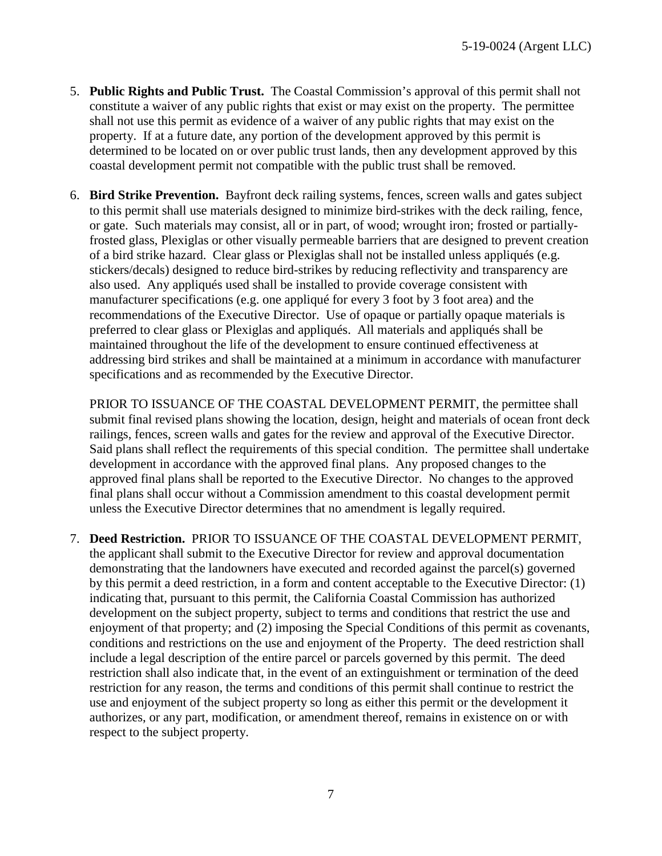- 5. **Public Rights and Public Trust.** The Coastal Commission's approval of this permit shall not constitute a waiver of any public rights that exist or may exist on the property. The permittee shall not use this permit as evidence of a waiver of any public rights that may exist on the property. If at a future date, any portion of the development approved by this permit is determined to be located on or over public trust lands, then any development approved by this coastal development permit not compatible with the public trust shall be removed.
- 6. **Bird Strike Prevention.** Bayfront deck railing systems, fences, screen walls and gates subject to this permit shall use materials designed to minimize bird-strikes with the deck railing, fence, or gate. Such materials may consist, all or in part, of wood; wrought iron; frosted or partiallyfrosted glass, Plexiglas or other visually permeable barriers that are designed to prevent creation of a bird strike hazard. Clear glass or Plexiglas shall not be installed unless appliqués (e.g. stickers/decals) designed to reduce bird-strikes by reducing reflectivity and transparency are also used. Any appliqués used shall be installed to provide coverage consistent with manufacturer specifications (e.g. one appliqué for every 3 foot by 3 foot area) and the recommendations of the Executive Director. Use of opaque or partially opaque materials is preferred to clear glass or Plexiglas and appliqués. All materials and appliqués shall be maintained throughout the life of the development to ensure continued effectiveness at addressing bird strikes and shall be maintained at a minimum in accordance with manufacturer specifications and as recommended by the Executive Director.

PRIOR TO ISSUANCE OF THE COASTAL DEVELOPMENT PERMIT, the permittee shall submit final revised plans showing the location, design, height and materials of ocean front deck railings, fences, screen walls and gates for the review and approval of the Executive Director. Said plans shall reflect the requirements of this special condition. The permittee shall undertake development in accordance with the approved final plans. Any proposed changes to the approved final plans shall be reported to the Executive Director. No changes to the approved final plans shall occur without a Commission amendment to this coastal development permit unless the Executive Director determines that no amendment is legally required.

7. **Deed Restriction.** PRIOR TO ISSUANCE OF THE COASTAL DEVELOPMENT PERMIT, the applicant shall submit to the Executive Director for review and approval documentation demonstrating that the landowners have executed and recorded against the parcel(s) governed by this permit a deed restriction, in a form and content acceptable to the Executive Director: (1) indicating that, pursuant to this permit, the California Coastal Commission has authorized development on the subject property, subject to terms and conditions that restrict the use and enjoyment of that property; and (2) imposing the Special Conditions of this permit as covenants, conditions and restrictions on the use and enjoyment of the Property. The deed restriction shall include a legal description of the entire parcel or parcels governed by this permit. The deed restriction shall also indicate that, in the event of an extinguishment or termination of the deed restriction for any reason, the terms and conditions of this permit shall continue to restrict the use and enjoyment of the subject property so long as either this permit or the development it authorizes, or any part, modification, or amendment thereof, remains in existence on or with respect to the subject property.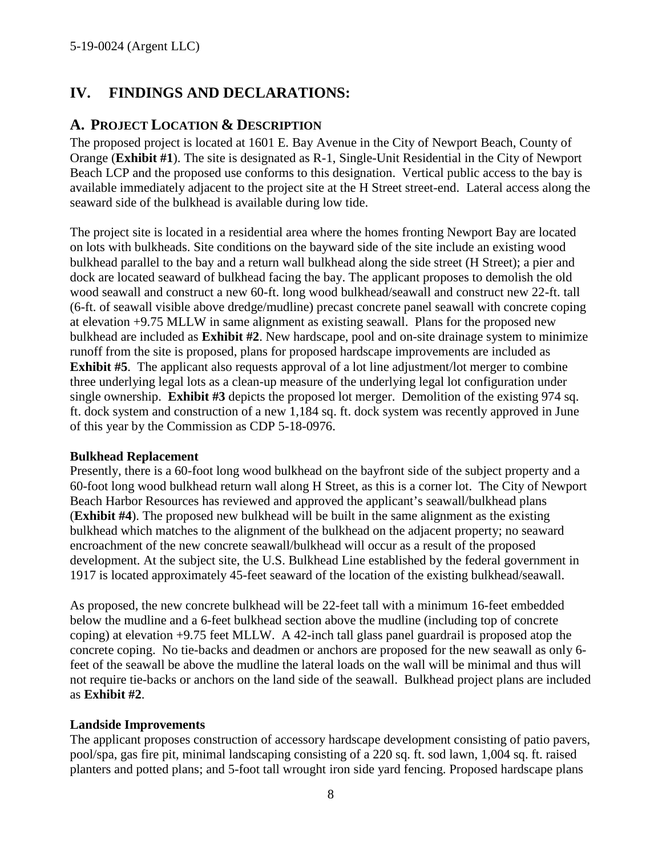# <span id="page-7-0"></span>**IV. FINDINGS AND DECLARATIONS:**

### <span id="page-7-1"></span>**A. PROJECT LOCATION & DESCRIPTION**

The proposed project is located at 1601 E. Bay Avenue in the City of Newport Beach, County of Orange (**[Exhibit #1](https://documents.coastal.ca.gov/reports/2019/9/W26a/W26a-9-2019-exhibits.pdf)**). The site is designated as R-1, Single-Unit Residential in the City of Newport Beach LCP and the proposed use conforms to this designation. Vertical public access to the bay is available immediately adjacent to the project site at the H Street street-end. Lateral access along the seaward side of the bulkhead is available during low tide.

The project site is located in a residential area where the homes fronting Newport Bay are located on lots with bulkheads. Site conditions on the bayward side of the site include an existing wood bulkhead parallel to the bay and a return wall bulkhead along the side street (H Street); a pier and dock are located seaward of bulkhead facing the bay. The applicant proposes to demolish the old wood seawall and construct a new 60-ft. long wood bulkhead/seawall and construct new 22-ft. tall (6-ft. of seawall visible above dredge/mudline) precast concrete panel seawall with concrete coping at elevation +9.75 MLLW in same alignment as existing seawall. Plans for the proposed new bulkhead are included as **[Exhibit #2](https://documents.coastal.ca.gov/reports/2019/9/W26a/W26a-9-2019-exhibits.pdf)**. New hardscape, pool and on-site drainage system to minimize runoff from the site is proposed, plans for proposed hardscape improvements are included as **[Exhibit #5](https://documents.coastal.ca.gov/reports/2019/9/W26a/W26a-9-2019-exhibits.pdf)**. The applicant also requests approval of a lot line adjustment/lot merger to combine three underlying legal lots as a clean-up measure of the underlying legal lot configuration under single ownership. **[Exhibit #3](https://documents.coastal.ca.gov/reports/2019/9/W26a/W26a-9-2019-exhibits.pdf)** depicts the proposed lot merger. Demolition of the existing 974 sq. ft. dock system and construction of a new 1,184 sq. ft. dock system was recently approved in June of this year by the Commission as CDP 5-18-0976.

#### **Bulkhead Replacement**

Presently, there is a 60-foot long wood bulkhead on the bayfront side of the subject property and a 60-foot long wood bulkhead return wall along H Street, as this is a corner lot. The City of Newport Beach Harbor Resources has reviewed and approved the applicant's seawall/bulkhead plans (**[Exhibit #4](https://documents.coastal.ca.gov/reports/2019/9/W26a/W26a-9-2019-exhibits.pdf)**). The proposed new bulkhead will be built in the same alignment as the existing bulkhead which matches to the alignment of the bulkhead on the adjacent property; no seaward encroachment of the new concrete seawall/bulkhead will occur as a result of the proposed development. At the subject site, the U.S. Bulkhead Line established by the federal government in 1917 is located approximately 45-feet seaward of the location of the existing bulkhead/seawall.

As proposed, the new concrete bulkhead will be 22-feet tall with a minimum 16-feet embedded below the mudline and a 6-feet bulkhead section above the mudline (including top of concrete coping) at elevation +9.75 feet MLLW. A 42-inch tall glass panel guardrail is proposed atop the concrete coping. No tie-backs and deadmen or anchors are proposed for the new seawall as only 6 feet of the seawall be above the mudline the lateral loads on the wall will be minimal and thus will not require tie-backs or anchors on the land side of the seawall. Bulkhead project plans are included as **[Exhibit #2](https://documents.coastal.ca.gov/reports/2019/9/W26a/W26a-9-2019-exhibits.pdf)**.

#### **Landside Improvements**

The applicant proposes construction of accessory hardscape development consisting of patio pavers, pool/spa, gas fire pit, minimal landscaping consisting of a 220 sq. ft. sod lawn, 1,004 sq. ft. raised planters and potted plans; and 5-foot tall wrought iron side yard fencing. Proposed hardscape plans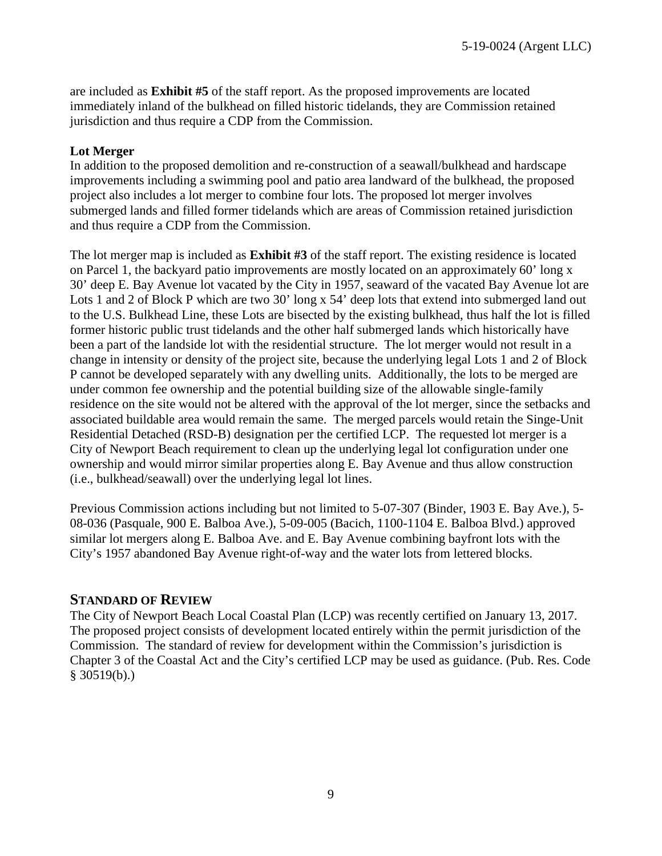are included as **[Exhibit #5](https://documents.coastal.ca.gov/reports/2019/9/W26a/W26a-9-2019-exhibits.pdf)** of the staff report. As the proposed improvements are located immediately inland of the bulkhead on filled historic tidelands, they are Commission retained jurisdiction and thus require a CDP from the Commission.

#### **Lot Merger**

In addition to the proposed demolition and re-construction of a seawall/bulkhead and hardscape improvements including a swimming pool and patio area landward of the bulkhead, the proposed project also includes a lot merger to combine four lots. The proposed lot merger involves submerged lands and filled former tidelands which are areas of Commission retained jurisdiction and thus require a CDP from the Commission.

The lot merger map is included as **[Exhibit #3](https://documents.coastal.ca.gov/reports/2019/9/W26a/W26a-9-2019-exhibits.pdf)** of the staff report. The existing residence is located on Parcel 1, the backyard patio improvements are mostly located on an approximately 60' long x 30' deep E. Bay Avenue lot vacated by the City in 1957, seaward of the vacated Bay Avenue lot are Lots 1 and 2 of Block P which are two 30' long x 54' deep lots that extend into submerged land out to the U.S. Bulkhead Line, these Lots are bisected by the existing bulkhead, thus half the lot is filled former historic public trust tidelands and the other half submerged lands which historically have been a part of the landside lot with the residential structure. The lot merger would not result in a change in intensity or density of the project site, because the underlying legal Lots 1 and 2 of Block P cannot be developed separately with any dwelling units. Additionally, the lots to be merged are under common fee ownership and the potential building size of the allowable single-family residence on the site would not be altered with the approval of the lot merger, since the setbacks and associated buildable area would remain the same. The merged parcels would retain the Singe-Unit Residential Detached (RSD-B) designation per the certified LCP. The requested lot merger is a City of Newport Beach requirement to clean up the underlying legal lot configuration under one ownership and would mirror similar properties along E. Bay Avenue and thus allow construction (i.e., bulkhead/seawall) over the underlying legal lot lines.

Previous Commission actions including but not limited to 5-07-307 (Binder, 1903 E. Bay Ave.), 5- 08-036 (Pasquale, 900 E. Balboa Ave.), 5-09-005 (Bacich, 1100-1104 E. Balboa Blvd.) approved similar lot mergers along E. Balboa Ave. and E. Bay Avenue combining bayfront lots with the City's 1957 abandoned Bay Avenue right-of-way and the water lots from lettered blocks.

### **STANDARD OF REVIEW**

The City of Newport Beach Local Coastal Plan (LCP) was recently certified on January 13, 2017. The proposed project consists of development located entirely within the permit jurisdiction of the Commission. The standard of review for development within the Commission's jurisdiction is Chapter 3 of the Coastal Act and the City's certified LCP may be used as guidance. (Pub. Res. Code  $§$  30519(b).)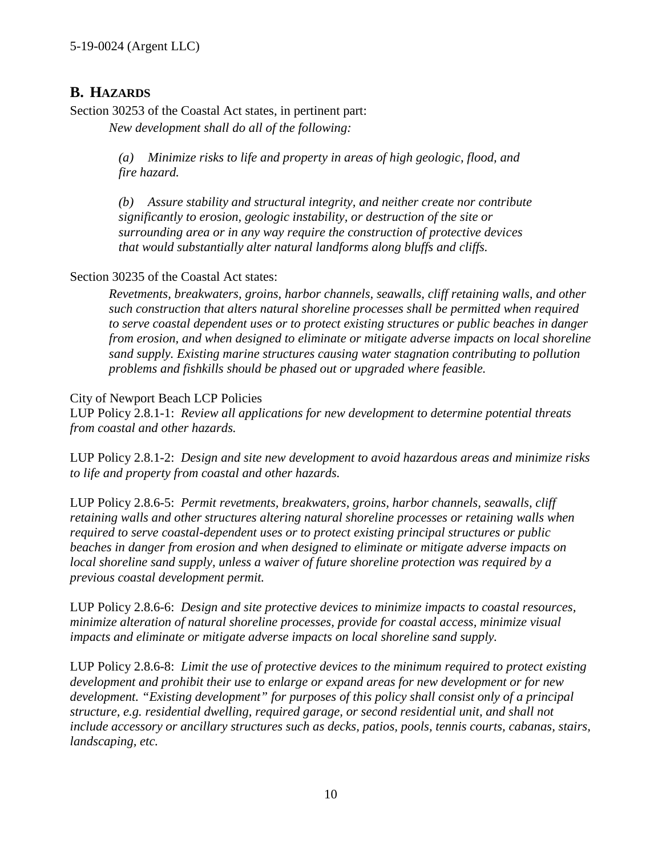## <span id="page-9-0"></span>**B. HAZARDS**

Section 30253 of the Coastal Act states, in pertinent part: *New development shall do all of the following:* 

> *(a) Minimize risks to life and property in areas of high geologic, flood, and fire hazard.*

*(b) Assure stability and structural integrity, and neither create nor contribute significantly to erosion, geologic instability, or destruction of the site or surrounding area or in any way require the construction of protective devices that would substantially alter natural landforms along bluffs and cliffs.*

#### Section 30235 of the Coastal Act states:

*Revetments, breakwaters, groins, harbor channels, seawalls, cliff retaining walls, and other such construction that alters natural shoreline processes shall be permitted when required to serve coastal dependent uses or to protect existing structures or public beaches in danger from erosion, and when designed to eliminate or mitigate adverse impacts on local shoreline sand supply. Existing marine structures causing water stagnation contributing to pollution problems and fishkills should be phased out or upgraded where feasible.* 

#### City of Newport Beach LCP Policies

LUP Policy 2.8.1-1: *Review all applications for new development to determine potential threats from coastal and other hazards.* 

LUP Policy 2.8.1-2: *Design and site new development to avoid hazardous areas and minimize risks to life and property from coastal and other hazards.*

LUP Policy 2.8.6-5: *Permit revetments, breakwaters, groins, harbor channels, seawalls, cliff retaining walls and other structures altering natural shoreline processes or retaining walls when required to serve coastal-dependent uses or to protect existing principal structures or public beaches in danger from erosion and when designed to eliminate or mitigate adverse impacts on local shoreline sand supply, unless a waiver of future shoreline protection was required by a previous coastal development permit.*

LUP Policy 2.8.6-6: *Design and site protective devices to minimize impacts to coastal resources, minimize alteration of natural shoreline processes, provide for coastal access, minimize visual impacts and eliminate or mitigate adverse impacts on local shoreline sand supply.*

LUP Policy 2.8.6-8: *Limit the use of protective devices to the minimum required to protect existing development and prohibit their use to enlarge or expand areas for new development or for new development. "Existing development" for purposes of this policy shall consist only of a principal structure, e.g. residential dwelling, required garage, or second residential unit, and shall not include accessory or ancillary structures such as decks, patios, pools, tennis courts, cabanas, stairs, landscaping, etc.*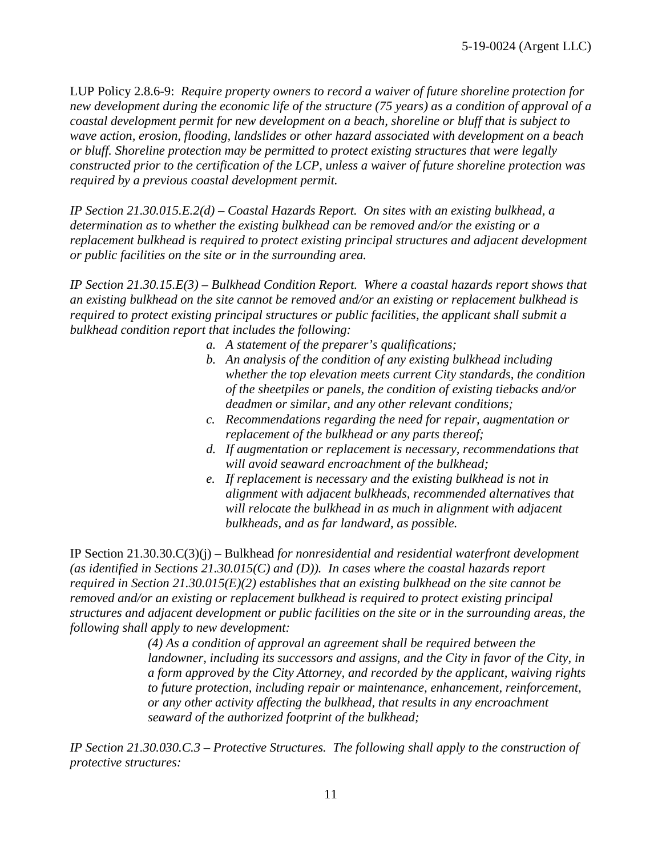LUP Policy 2.8.6-9: *Require property owners to record a waiver of future shoreline protection for new development during the economic life of the structure (75 years) as a condition of approval of a coastal development permit for new development on a beach, shoreline or bluff that is subject to wave action, erosion, flooding, landslides or other hazard associated with development on a beach or bluff. Shoreline protection may be permitted to protect existing structures that were legally constructed prior to the certification of the LCP, unless a waiver of future shoreline protection was required by a previous coastal development permit.*

*IP Section 21.30.015.E.2(d) – Coastal Hazards Report. On sites with an existing bulkhead, a determination as to whether the existing bulkhead can be removed and/or the existing or a replacement bulkhead is required to protect existing principal structures and adjacent development or public facilities on the site or in the surrounding area.* 

*IP Section 21.30.15.E(3) – Bulkhead Condition Report. Where a coastal hazards report shows that an existing bulkhead on the site cannot be removed and/or an existing or replacement bulkhead is required to protect existing principal structures or public facilities, the applicant shall submit a bulkhead condition report that includes the following:*

- *a. A statement of the preparer's qualifications;*
- *b. An analysis of the condition of any existing bulkhead including whether the top elevation meets current City standards, the condition of the sheetpiles or panels, the condition of existing tiebacks and/or deadmen or similar, and any other relevant conditions;*
- *c. Recommendations regarding the need for repair, augmentation or replacement of the bulkhead or any parts thereof;*
- *d. If augmentation or replacement is necessary, recommendations that will avoid seaward encroachment of the bulkhead;*
- *e. If replacement is necessary and the existing bulkhead is not in alignment with adjacent bulkheads, recommended alternatives that will relocate the bulkhead in as much in alignment with adjacent bulkheads, and as far landward, as possible.*

IP Section 21.30.30.C(3)(j) – Bulkhead *for nonresidential and residential waterfront development (as identified in Sections 21.30.015(C) and (D)). In cases where the coastal hazards report required in Section 21.30.015(E)(2) establishes that an existing bulkhead on the site cannot be removed and/or an existing or replacement bulkhead is required to protect existing principal structures and adjacent development or public facilities on the site or in the surrounding areas, the following shall apply to new development:*

> *(4) As a condition of approval an agreement shall be required between the landowner, including its successors and assigns, and the City in favor of the City, in a form approved by the City Attorney, and recorded by the applicant, waiving rights to future protection, including repair or maintenance, enhancement, reinforcement, or any other activity affecting the bulkhead, that results in any encroachment seaward of the authorized footprint of the bulkhead;*

*IP Section 21.30.030.C.3 – Protective Structures. The following shall apply to the construction of protective structures:*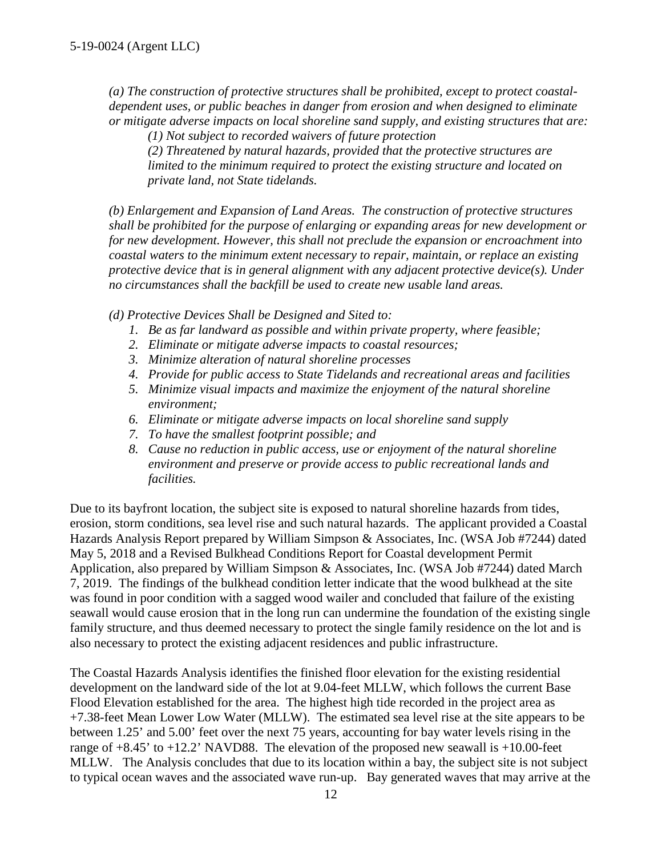*(a) The construction of protective structures shall be prohibited, except to protect coastaldependent uses, or public beaches in danger from erosion and when designed to eliminate or mitigate adverse impacts on local shoreline sand supply, and existing structures that are:* 

 *(1) Not subject to recorded waivers of future protection* 

*(2) Threatened by natural hazards, provided that the protective structures are limited to the minimum required to protect the existing structure and located on private land, not State tidelands.* 

*(b) Enlargement and Expansion of Land Areas. The construction of protective structures shall be prohibited for the purpose of enlarging or expanding areas for new development or for new development. However, this shall not preclude the expansion or encroachment into coastal waters to the minimum extent necessary to repair, maintain, or replace an existing protective device that is in general alignment with any adjacent protective device(s). Under no circumstances shall the backfill be used to create new usable land areas.*

*(d) Protective Devices Shall be Designed and Sited to:* 

- *1. Be as far landward as possible and within private property, where feasible;*
- *2. Eliminate or mitigate adverse impacts to coastal resources;*
- *3. Minimize alteration of natural shoreline processes*
- *4. Provide for public access to State Tidelands and recreational areas and facilities*
- *5. Minimize visual impacts and maximize the enjoyment of the natural shoreline environment;*
- *6. Eliminate or mitigate adverse impacts on local shoreline sand supply*
- *7. To have the smallest footprint possible; and*
- *8. Cause no reduction in public access, use or enjoyment of the natural shoreline environment and preserve or provide access to public recreational lands and facilities.*

Due to its bayfront location, the subject site is exposed to natural shoreline hazards from tides, erosion, storm conditions, sea level rise and such natural hazards. The applicant provided a Coastal Hazards Analysis Report prepared by William Simpson & Associates, Inc. (WSA Job #7244) dated May 5, 2018 and a Revised Bulkhead Conditions Report for Coastal development Permit Application, also prepared by William Simpson & Associates, Inc. (WSA Job #7244) dated March 7, 2019. The findings of the bulkhead condition letter indicate that the wood bulkhead at the site was found in poor condition with a sagged wood wailer and concluded that failure of the existing seawall would cause erosion that in the long run can undermine the foundation of the existing single family structure, and thus deemed necessary to protect the single family residence on the lot and is also necessary to protect the existing adjacent residences and public infrastructure.

The Coastal Hazards Analysis identifies the finished floor elevation for the existing residential development on the landward side of the lot at 9.04-feet MLLW, which follows the current Base Flood Elevation established for the area. The highest high tide recorded in the project area as +7.38-feet Mean Lower Low Water (MLLW). The estimated sea level rise at the site appears to be between 1.25' and 5.00' feet over the next 75 years, accounting for bay water levels rising in the range of  $+8.45$ ' to  $+12.2$ ' NAVD88. The elevation of the proposed new seawall is  $+10.00$ -feet MLLW. The Analysis concludes that due to its location within a bay, the subject site is not subject to typical ocean waves and the associated wave run-up. Bay generated waves that may arrive at the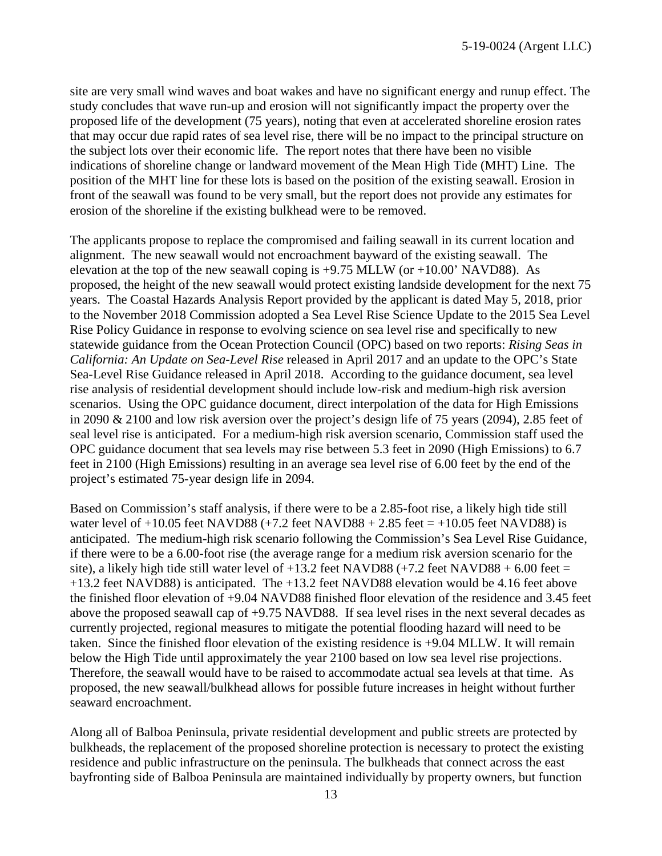site are very small wind waves and boat wakes and have no significant energy and runup effect. The study concludes that wave run-up and erosion will not significantly impact the property over the proposed life of the development (75 years), noting that even at accelerated shoreline erosion rates that may occur due rapid rates of sea level rise, there will be no impact to the principal structure on the subject lots over their economic life. The report notes that there have been no visible indications of shoreline change or landward movement of the Mean High Tide (MHT) Line. The position of the MHT line for these lots is based on the position of the existing seawall. Erosion in front of the seawall was found to be very small, but the report does not provide any estimates for erosion of the shoreline if the existing bulkhead were to be removed.

The applicants propose to replace the compromised and failing seawall in its current location and alignment. The new seawall would not encroachment bayward of the existing seawall. The elevation at the top of the new seawall coping is  $+9.75$  MLLW (or  $+10.00$ <sup>'</sup> NAVD88). As proposed, the height of the new seawall would protect existing landside development for the next 75 years. The Coastal Hazards Analysis Report provided by the applicant is dated May 5, 2018, prior to the November 2018 Commission adopted a Sea Level Rise Science Update to the 2015 Sea Level Rise Policy Guidance in response to evolving science on sea level rise and specifically to new statewide guidance from the Ocean Protection Council (OPC) based on two reports: *Rising Seas in California: An Update on Sea-Level Rise* released in April 2017 and an update to the OPC's State Sea-Level Rise Guidance released in April 2018. According to the guidance document, sea level rise analysis of residential development should include low-risk and medium-high risk aversion scenarios. Using the OPC guidance document, direct interpolation of the data for High Emissions in 2090 & 2100 and low risk aversion over the project's design life of 75 years (2094), 2.85 feet of seal level rise is anticipated. For a medium-high risk aversion scenario, Commission staff used the OPC guidance document that sea levels may rise between 5.3 feet in 2090 (High Emissions) to 6.7 feet in 2100 (High Emissions) resulting in an average sea level rise of 6.00 feet by the end of the project's estimated 75-year design life in 2094.

Based on Commission's staff analysis, if there were to be a 2.85-foot rise, a likely high tide still water level of  $+10.05$  feet NAVD88 ( $+7.2$  feet NAVD88  $+ 2.85$  feet  $= +10.05$  feet NAVD88) is anticipated. The medium-high risk scenario following the Commission's Sea Level Rise Guidance, if there were to be a 6.00-foot rise (the average range for a medium risk aversion scenario for the site), a likely high tide still water level of  $+13.2$  feet NAVD88 ( $+7.2$  feet NAVD88  $+ 6.00$  feet  $=$ +13.2 feet NAVD88) is anticipated. The +13.2 feet NAVD88 elevation would be 4.16 feet above the finished floor elevation of +9.04 NAVD88 finished floor elevation of the residence and 3.45 feet above the proposed seawall cap of +9.75 NAVD88. If sea level rises in the next several decades as currently projected, regional measures to mitigate the potential flooding hazard will need to be taken. Since the finished floor elevation of the existing residence is +9.04 MLLW. It will remain below the High Tide until approximately the year 2100 based on low sea level rise projections. Therefore, the seawall would have to be raised to accommodate actual sea levels at that time. As proposed, the new seawall/bulkhead allows for possible future increases in height without further seaward encroachment.

Along all of Balboa Peninsula, private residential development and public streets are protected by bulkheads, the replacement of the proposed shoreline protection is necessary to protect the existing residence and public infrastructure on the peninsula. The bulkheads that connect across the east bayfronting side of Balboa Peninsula are maintained individually by property owners, but function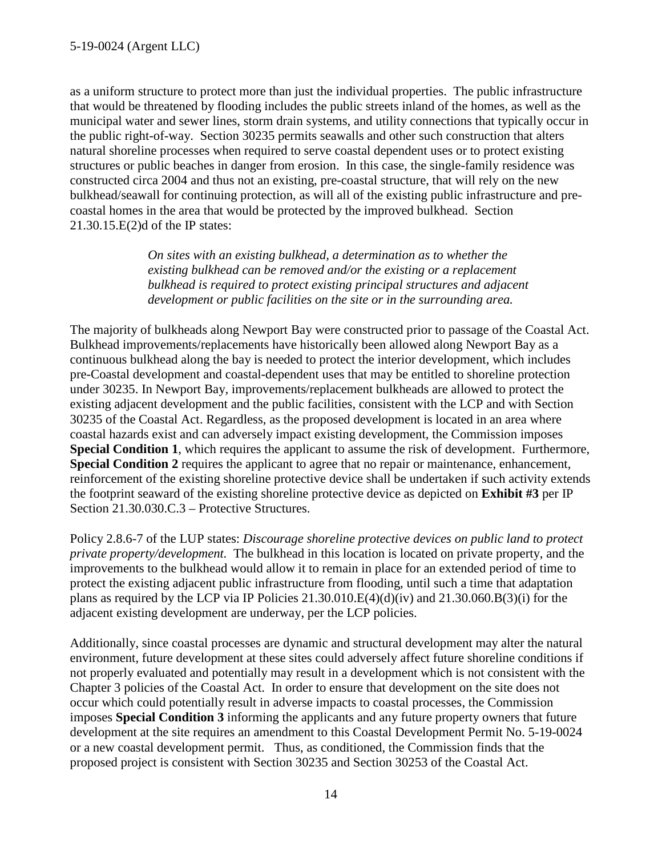as a uniform structure to protect more than just the individual properties. The public infrastructure that would be threatened by flooding includes the public streets inland of the homes, as well as the municipal water and sewer lines, storm drain systems, and utility connections that typically occur in the public right-of-way. Section 30235 permits seawalls and other such construction that alters natural shoreline processes when required to serve coastal dependent uses or to protect existing structures or public beaches in danger from erosion. In this case, the single-family residence was constructed circa 2004 and thus not an existing, pre-coastal structure, that will rely on the new bulkhead/seawall for continuing protection, as will all of the existing public infrastructure and precoastal homes in the area that would be protected by the improved bulkhead. Section 21.30.15.E(2)d of the IP states:

> *On sites with an existing bulkhead, a determination as to whether the existing bulkhead can be removed and/or the existing or a replacement bulkhead is required to protect existing principal structures and adjacent development or public facilities on the site or in the surrounding area.*

The majority of bulkheads along Newport Bay were constructed prior to passage of the Coastal Act. Bulkhead improvements/replacements have historically been allowed along Newport Bay as a continuous bulkhead along the bay is needed to protect the interior development, which includes pre-Coastal development and coastal-dependent uses that may be entitled to shoreline protection under 30235. In Newport Bay, improvements/replacement bulkheads are allowed to protect the existing adjacent development and the public facilities, consistent with the LCP and with Section 30235 of the Coastal Act. Regardless, as the proposed development is located in an area where coastal hazards exist and can adversely impact existing development, the Commission imposes **Special Condition 1**, which requires the applicant to assume the risk of development. Furthermore, **Special Condition 2** requires the applicant to agree that no repair or maintenance, enhancement, reinforcement of the existing shoreline protective device shall be undertaken if such activity extends the footprint seaward of the existing shoreline protective device as depicted on **[Exhibit #3](https://documents.coastal.ca.gov/reports/2019/9/W26a/W26a-9-2019-exhibits.pdf)** per IP Section 21.30.030.C.3 – Protective Structures.

Policy 2.8.6-7 of the LUP states: *Discourage shoreline protective devices on public land to protect private property/development.* The bulkhead in this location is located on private property, and the improvements to the bulkhead would allow it to remain in place for an extended period of time to protect the existing adjacent public infrastructure from flooding, until such a time that adaptation plans as required by the LCP via IP Policies 21.30.010.E(4)(d)(iv) and 21.30.060.B(3)(i) for the adjacent existing development are underway, per the LCP policies.

Additionally, since coastal processes are dynamic and structural development may alter the natural environment, future development at these sites could adversely affect future shoreline conditions if not properly evaluated and potentially may result in a development which is not consistent with the Chapter 3 policies of the Coastal Act. In order to ensure that development on the site does not occur which could potentially result in adverse impacts to coastal processes, the Commission imposes **Special Condition 3** informing the applicants and any future property owners that future development at the site requires an amendment to this Coastal Development Permit No. 5-19-0024 or a new coastal development permit. Thus, as conditioned, the Commission finds that the proposed project is consistent with Section 30235 and Section 30253 of the Coastal Act.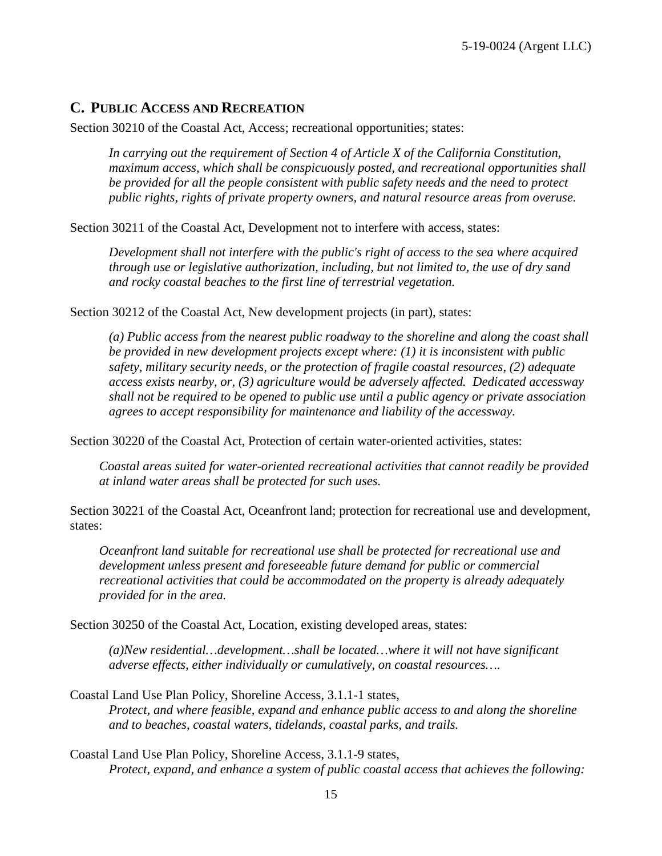### <span id="page-14-0"></span>**C. PUBLIC ACCESS AND RECREATION**

Section 30210 of the Coastal Act, Access; recreational opportunities; states:

*In carrying out the requirement of Section 4 of Article X of the California Constitution, maximum access, which shall be conspicuously posted, and recreational opportunities shall be provided for all the people consistent with public safety needs and the need to protect public rights, rights of private property owners, and natural resource areas from overuse.* 

Section 30211 of the Coastal Act, Development not to interfere with access, states:

*Development shall not interfere with the public's right of access to the sea where acquired through use or legislative authorization, including, but not limited to, the use of dry sand and rocky coastal beaches to the first line of terrestrial vegetation.* 

Section 30212 of the Coastal Act, New development projects (in part), states:

*(a) Public access from the nearest public roadway to the shoreline and along the coast shall be provided in new development projects except where: (1) it is inconsistent with public safety, military security needs, or the protection of fragile coastal resources, (2) adequate access exists nearby, or, (3) agriculture would be adversely affected. Dedicated accessway shall not be required to be opened to public use until a public agency or private association agrees to accept responsibility for maintenance and liability of the accessway.* 

Section 30220 of the Coastal Act, Protection of certain water-oriented activities, states:

*Coastal areas suited for water-oriented recreational activities that cannot readily be provided at inland water areas shall be protected for such uses.* 

Section 30221 of the Coastal Act, Oceanfront land; protection for recreational use and development, states:

*Oceanfront land suitable for recreational use shall be protected for recreational use and development unless present and foreseeable future demand for public or commercial recreational activities that could be accommodated on the property is already adequately provided for in the area.* 

Section 30250 of the Coastal Act, Location, existing developed areas, states:

*(a)New residential…development…shall be located…where it will not have significant adverse effects, either individually or cumulatively, on coastal resources….* 

Coastal Land Use Plan Policy, Shoreline Access, 3.1.1-1 states, *Protect, and where feasible, expand and enhance public access to and along the shoreline and to beaches, coastal waters, tidelands, coastal parks, and trails.* 

Coastal Land Use Plan Policy, Shoreline Access, 3.1.1-9 states, *Protect, expand, and enhance a system of public coastal access that achieves the following:*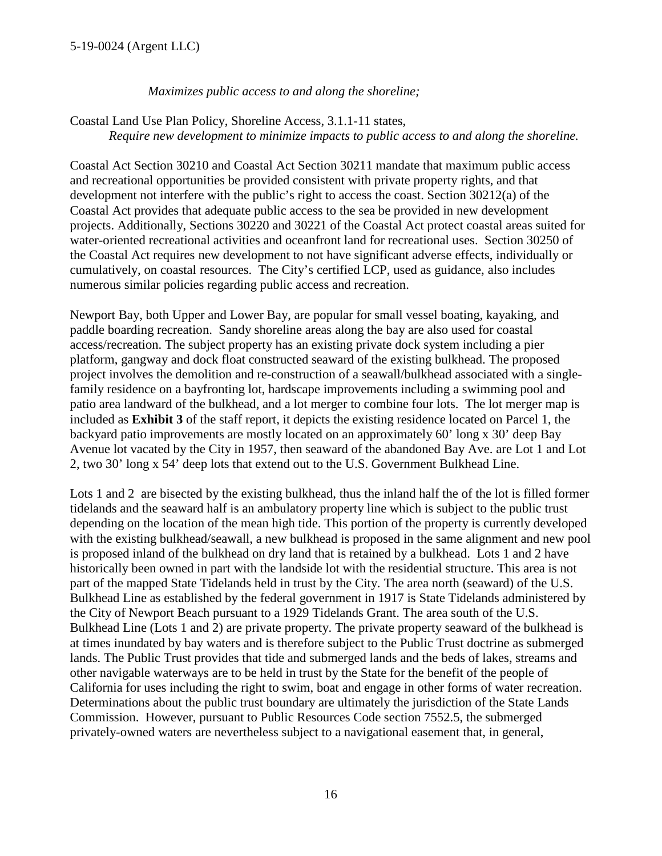#### 5-19-0024 (Argent LLC)

*Maximizes public access to and along the shoreline;* 

Coastal Land Use Plan Policy, Shoreline Access, 3.1.1-11 states, *Require new development to minimize impacts to public access to and along the shoreline.* 

Coastal Act Section 30210 and Coastal Act Section 30211 mandate that maximum public access and recreational opportunities be provided consistent with private property rights, and that development not interfere with the public's right to access the coast. Section 30212(a) of the Coastal Act provides that adequate public access to the sea be provided in new development projects. Additionally, Sections 30220 and 30221 of the Coastal Act protect coastal areas suited for water-oriented recreational activities and oceanfront land for recreational uses. Section 30250 of the Coastal Act requires new development to not have significant adverse effects, individually or cumulatively, on coastal resources. The City's certified LCP, used as guidance, also includes numerous similar policies regarding public access and recreation.

Newport Bay, both Upper and Lower Bay, are popular for small vessel boating, kayaking, and paddle boarding recreation. Sandy shoreline areas along the bay are also used for coastal access/recreation. The subject property has an existing private dock system including a pier platform, gangway and dock float constructed seaward of the existing bulkhead. The proposed project involves the demolition and re-construction of a seawall/bulkhead associated with a singlefamily residence on a bayfronting lot, hardscape improvements including a swimming pool and patio area landward of the bulkhead, and a lot merger to combine four lots. The lot merger map is included as **[Exhibit 3](https://documents.coastal.ca.gov/reports/2019/9/W26a/W26a-9-2019-exhibits.pdf)** of the staff report, it depicts the existing residence located on Parcel 1, the backyard patio improvements are mostly located on an approximately 60' long x 30' deep Bay Avenue lot vacated by the City in 1957, then seaward of the abandoned Bay Ave. are Lot 1 and Lot 2, two 30' long x 54' deep lots that extend out to the U.S. Government Bulkhead Line.

Lots 1 and 2 are bisected by the existing bulkhead, thus the inland half the of the lot is filled former tidelands and the seaward half is an ambulatory property line which is subject to the public trust depending on the location of the mean high tide. This portion of the property is currently developed with the existing bulkhead/seawall, a new bulkhead is proposed in the same alignment and new pool is proposed inland of the bulkhead on dry land that is retained by a bulkhead. Lots 1 and 2 have historically been owned in part with the landside lot with the residential structure. This area is not part of the mapped State Tidelands held in trust by the City. The area north (seaward) of the U.S. Bulkhead Line as established by the federal government in 1917 is State Tidelands administered by the City of Newport Beach pursuant to a 1929 Tidelands Grant. The area south of the U.S. Bulkhead Line (Lots 1 and 2) are private property. The private property seaward of the bulkhead is at times inundated by bay waters and is therefore subject to the Public Trust doctrine as submerged lands. The Public Trust provides that tide and submerged lands and the beds of lakes, streams and other navigable waterways are to be held in trust by the State for the benefit of the people of California for uses including the right to swim, boat and engage in other forms of water recreation. Determinations about the public trust boundary are ultimately the jurisdiction of the State Lands Commission. However, pursuant to Public Resources Code section 7552.5, the submerged privately-owned waters are nevertheless subject to a navigational easement that, in general,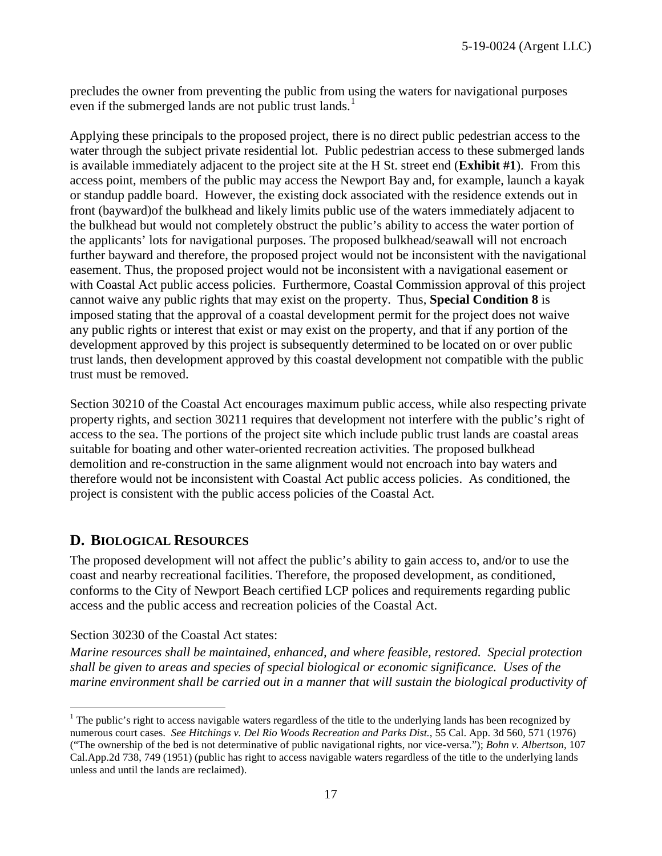precludes the owner from preventing the public from using the waters for navigational purposes even if the submerged lands are not public trust lands.<sup>[1](#page-16-1)</sup>

Applying these principals to the proposed project, there is no direct public pedestrian access to the water through the subject private residential lot. Public pedestrian access to these submerged lands is available immediately adjacent to the project site at the H St. street end (**[Exhibit #1](https://documents.coastal.ca.gov/reports/2019/9/W26a/W26a-9-2019-exhibits.pdf)**). From this access point, members of the public may access the Newport Bay and, for example, launch a kayak or standup paddle board. However, the existing dock associated with the residence extends out in front (bayward)of the bulkhead and likely limits public use of the waters immediately adjacent to the bulkhead but would not completely obstruct the public's ability to access the water portion of the applicants' lots for navigational purposes. The proposed bulkhead/seawall will not encroach further bayward and therefore, the proposed project would not be inconsistent with the navigational easement. Thus, the proposed project would not be inconsistent with a navigational easement or with Coastal Act public access policies. Furthermore, Coastal Commission approval of this project cannot waive any public rights that may exist on the property. Thus, **Special Condition 8** is imposed stating that the approval of a coastal development permit for the project does not waive any public rights or interest that exist or may exist on the property, and that if any portion of the development approved by this project is subsequently determined to be located on or over public trust lands, then development approved by this coastal development not compatible with the public trust must be removed.

Section 30210 of the Coastal Act encourages maximum public access, while also respecting private property rights, and section 30211 requires that development not interfere with the public's right of access to the sea. The portions of the project site which include public trust lands are coastal areas suitable for boating and other water-oriented recreation activities. The proposed bulkhead demolition and re-construction in the same alignment would not encroach into bay waters and therefore would not be inconsistent with Coastal Act public access policies. As conditioned, the project is consistent with the public access policies of the Coastal Act.

### <span id="page-16-0"></span>**D. BIOLOGICAL RESOURCES**

The proposed development will not affect the public's ability to gain access to, and/or to use the coast and nearby recreational facilities. Therefore, the proposed development, as conditioned, conforms to the City of Newport Beach certified LCP polices and requirements regarding public access and the public access and recreation policies of the Coastal Act.

#### Section 30230 of the Coastal Act states:

 $\overline{a}$ 

*Marine resources shall be maintained, enhanced, and where feasible, restored. Special protection shall be given to areas and species of special biological or economic significance. Uses of the marine environment shall be carried out in a manner that will sustain the biological productivity of* 

<span id="page-16-1"></span> $1$  The public's right to access navigable waters regardless of the title to the underlying lands has been recognized by numerous court cases. *See Hitchings v. Del Rio Woods Recreation and Parks Dist.*, 55 Cal. App. 3d 560, 571 (1976) ("The ownership of the bed is not determinative of public navigational rights, nor vice-versa."); *Bohn v. Albertson*, 107 Cal.App.2d 738, 749 (1951) (public has right to access navigable waters regardless of the title to the underlying lands unless and until the lands are reclaimed).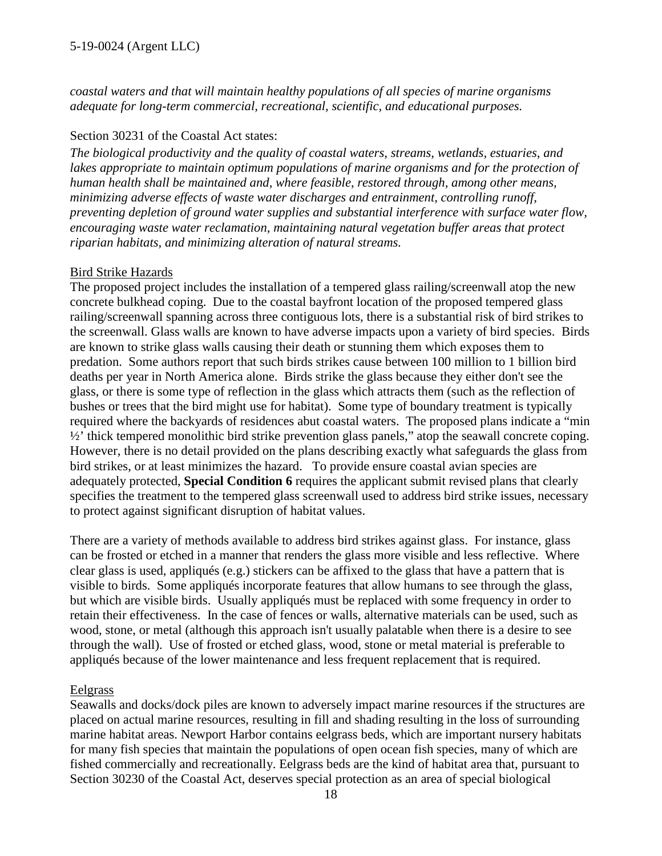*coastal waters and that will maintain healthy populations of all species of marine organisms adequate for long-term commercial, recreational, scientific, and educational purposes.* 

#### Section 30231 of the Coastal Act states:

*The biological productivity and the quality of coastal waters, streams, wetlands, estuaries, and*  lakes appropriate to maintain optimum populations of marine organisms and for the protection of *human health shall be maintained and, where feasible, restored through, among other means, minimizing adverse effects of waste water discharges and entrainment, controlling runoff, preventing depletion of ground water supplies and substantial interference with surface water flow, encouraging waste water reclamation, maintaining natural vegetation buffer areas that protect riparian habitats, and minimizing alteration of natural streams.* 

#### Bird Strike Hazards

The proposed project includes the installation of a tempered glass railing/screenwall atop the new concrete bulkhead coping. Due to the coastal bayfront location of the proposed tempered glass railing/screenwall spanning across three contiguous lots, there is a substantial risk of bird strikes to the screenwall. Glass walls are known to have adverse impacts upon a variety of bird species. Birds are known to strike glass walls causing their death or stunning them which exposes them to predation. Some authors report that such birds strikes cause between 100 million to 1 billion bird deaths per year in North America alone. Birds strike the glass because they either don't see the glass, or there is some type of reflection in the glass which attracts them (such as the reflection of bushes or trees that the bird might use for habitat). Some type of boundary treatment is typically required where the backyards of residences abut coastal waters. The proposed plans indicate a "min ½' thick tempered monolithic bird strike prevention glass panels," atop the seawall concrete coping. However, there is no detail provided on the plans describing exactly what safeguards the glass from bird strikes, or at least minimizes the hazard. To provide ensure coastal avian species are adequately protected, **Special Condition 6** requires the applicant submit revised plans that clearly specifies the treatment to the tempered glass screenwall used to address bird strike issues, necessary to protect against significant disruption of habitat values.

There are a variety of methods available to address bird strikes against glass. For instance, glass can be frosted or etched in a manner that renders the glass more visible and less reflective. Where clear glass is used, appliqués (e.g.) stickers can be affixed to the glass that have a pattern that is visible to birds. Some appliqués incorporate features that allow humans to see through the glass, but which are visible birds. Usually appliqués must be replaced with some frequency in order to retain their effectiveness. In the case of fences or walls, alternative materials can be used, such as wood, stone, or metal (although this approach isn't usually palatable when there is a desire to see through the wall). Use of frosted or etched glass, wood, stone or metal material is preferable to appliqués because of the lower maintenance and less frequent replacement that is required.

#### Eelgrass

Seawalls and docks/dock piles are known to adversely impact marine resources if the structures are placed on actual marine resources, resulting in fill and shading resulting in the loss of surrounding marine habitat areas. Newport Harbor contains eelgrass beds, which are important nursery habitats for many fish species that maintain the populations of open ocean fish species, many of which are fished commercially and recreationally. Eelgrass beds are the kind of habitat area that, pursuant to Section 30230 of the Coastal Act, deserves special protection as an area of special biological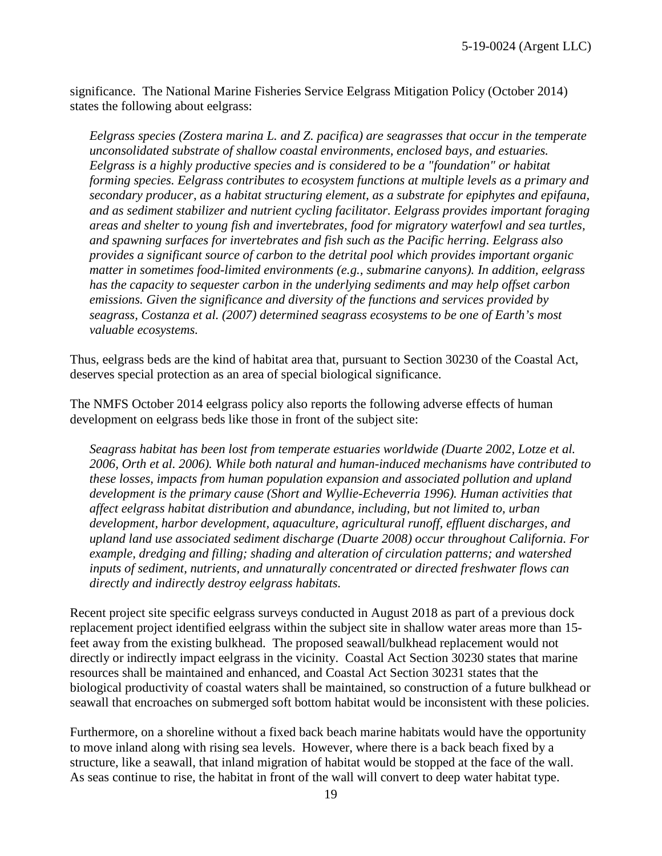significance. The National Marine Fisheries Service Eelgrass Mitigation Policy (October 2014) states the following about eelgrass:

*Eelgrass species (Zostera marina L. and Z. pacifica) are seagrasses that occur in the temperate unconsolidated substrate of shallow coastal environments, enclosed bays, and estuaries. Eelgrass is a highly productive species and is considered to be a "foundation" or habitat forming species. Eelgrass contributes to ecosystem functions at multiple levels as a primary and secondary producer, as a habitat structuring element, as a substrate for epiphytes and epifauna, and as sediment stabilizer and nutrient cycling facilitator. Eelgrass provides important foraging areas and shelter to young fish and invertebrates, food for migratory waterfowl and sea turtles, and spawning surfaces for invertebrates and fish such as the Pacific herring. Eelgrass also provides a significant source of carbon to the detrital pool which provides important organic matter in sometimes food-limited environments (e.g., submarine canyons). In addition, eelgrass has the capacity to sequester carbon in the underlying sediments and may help offset carbon emissions. Given the significance and diversity of the functions and services provided by seagrass, Costanza et al. (2007) determined seagrass ecosystems to be one of Earth's most valuable ecosystems.*

Thus, eelgrass beds are the kind of habitat area that, pursuant to Section 30230 of the Coastal Act, deserves special protection as an area of special biological significance.

The NMFS October 2014 eelgrass policy also reports the following adverse effects of human development on eelgrass beds like those in front of the subject site:

*Seagrass habitat has been lost from temperate estuaries worldwide (Duarte 2002, Lotze et al. 2006, Orth et al. 2006). While both natural and human-induced mechanisms have contributed to these losses, impacts from human population expansion and associated pollution and upland development is the primary cause (Short and Wyllie-Echeverria 1996). Human activities that affect eelgrass habitat distribution and abundance, including, but not limited to, urban development, harbor development, aquaculture, agricultural runoff, effluent discharges, and upland land use associated sediment discharge (Duarte 2008) occur throughout California. For example, dredging and filling; shading and alteration of circulation patterns; and watershed inputs of sediment, nutrients, and unnaturally concentrated or directed freshwater flows can directly and indirectly destroy eelgrass habitats.* 

Recent project site specific eelgrass surveys conducted in August 2018 as part of a previous dock replacement project identified eelgrass within the subject site in shallow water areas more than 15 feet away from the existing bulkhead. The proposed seawall/bulkhead replacement would not directly or indirectly impact eelgrass in the vicinity. Coastal Act Section 30230 states that marine resources shall be maintained and enhanced, and Coastal Act Section 30231 states that the biological productivity of coastal waters shall be maintained, so construction of a future bulkhead or seawall that encroaches on submerged soft bottom habitat would be inconsistent with these policies.

Furthermore, on a shoreline without a fixed back beach marine habitats would have the opportunity to move inland along with rising sea levels. However, where there is a back beach fixed by a structure, like a seawall, that inland migration of habitat would be stopped at the face of the wall. As seas continue to rise, the habitat in front of the wall will convert to deep water habitat type.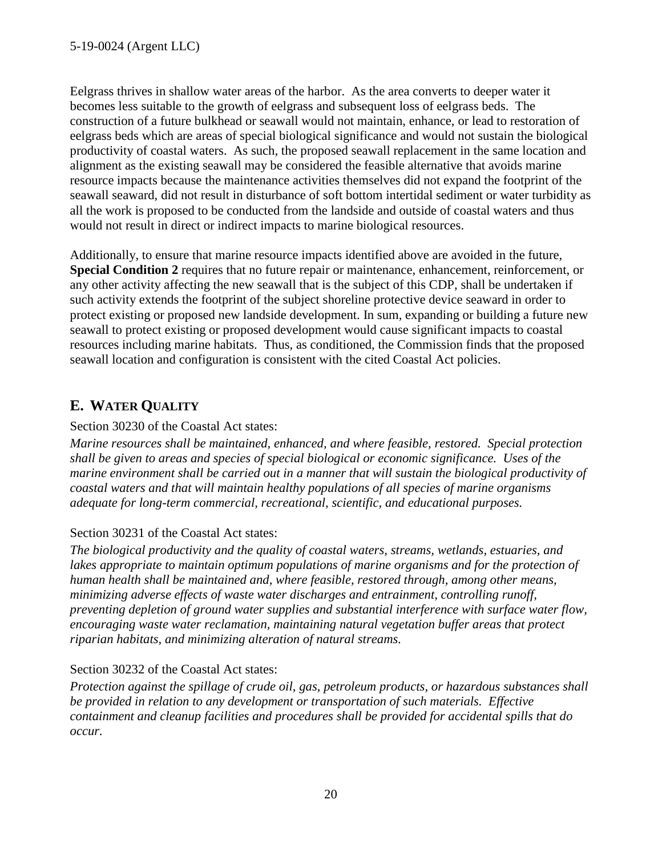Eelgrass thrives in shallow water areas of the harbor. As the area converts to deeper water it becomes less suitable to the growth of eelgrass and subsequent loss of eelgrass beds. The construction of a future bulkhead or seawall would not maintain, enhance, or lead to restoration of eelgrass beds which are areas of special biological significance and would not sustain the biological productivity of coastal waters. As such, the proposed seawall replacement in the same location and alignment as the existing seawall may be considered the feasible alternative that avoids marine resource impacts because the maintenance activities themselves did not expand the footprint of the seawall seaward, did not result in disturbance of soft bottom intertidal sediment or water turbidity as all the work is proposed to be conducted from the landside and outside of coastal waters and thus would not result in direct or indirect impacts to marine biological resources.

Additionally, to ensure that marine resource impacts identified above are avoided in the future, **Special Condition 2** requires that no future repair or maintenance, enhancement, reinforcement, or any other activity affecting the new seawall that is the subject of this CDP, shall be undertaken if such activity extends the footprint of the subject shoreline protective device seaward in order to protect existing or proposed new landside development. In sum, expanding or building a future new seawall to protect existing or proposed development would cause significant impacts to coastal resources including marine habitats. Thus, as conditioned, the Commission finds that the proposed seawall location and configuration is consistent with the cited Coastal Act policies.

# <span id="page-19-0"></span>**E. WATER QUALITY**

#### Section 30230 of the Coastal Act states:

*Marine resources shall be maintained, enhanced, and where feasible, restored. Special protection shall be given to areas and species of special biological or economic significance. Uses of the marine environment shall be carried out in a manner that will sustain the biological productivity of coastal waters and that will maintain healthy populations of all species of marine organisms adequate for long-term commercial, recreational, scientific, and educational purposes.* 

#### Section 30231 of the Coastal Act states:

*The biological productivity and the quality of coastal waters, streams, wetlands, estuaries, and*  lakes appropriate to maintain optimum populations of marine organisms and for the protection of *human health shall be maintained and, where feasible, restored through, among other means, minimizing adverse effects of waste water discharges and entrainment, controlling runoff, preventing depletion of ground water supplies and substantial interference with surface water flow, encouraging waste water reclamation, maintaining natural vegetation buffer areas that protect riparian habitats, and minimizing alteration of natural streams.* 

#### Section 30232 of the Coastal Act states:

*Protection against the spillage of crude oil, gas, petroleum products, or hazardous substances shall be provided in relation to any development or transportation of such materials. Effective containment and cleanup facilities and procedures shall be provided for accidental spills that do occur.*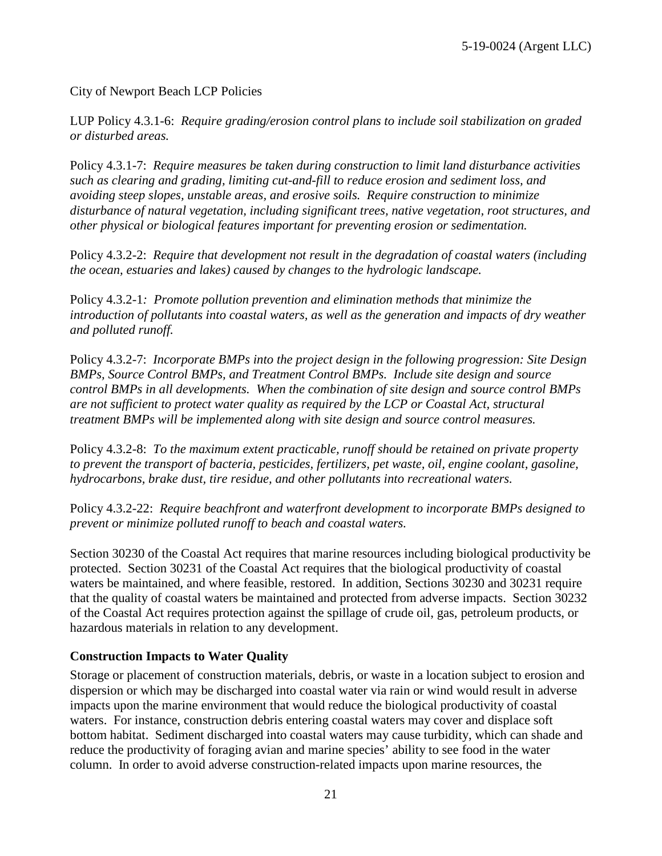City of Newport Beach LCP Policies

LUP Policy 4.3.1-6: *Require grading/erosion control plans to include soil stabilization on graded or disturbed areas.* 

Policy 4.3.1-7: *Require measures be taken during construction to limit land disturbance activities such as clearing and grading, limiting cut-and-fill to reduce erosion and sediment loss, and avoiding steep slopes, unstable areas, and erosive soils. Require construction to minimize disturbance of natural vegetation, including significant trees, native vegetation, root structures, and other physical or biological features important for preventing erosion or sedimentation.* 

Policy 4.3.2-2: *Require that development not result in the degradation of coastal waters (including the ocean, estuaries and lakes) caused by changes to the hydrologic landscape.* 

Policy 4.3.2-1*: Promote pollution prevention and elimination methods that minimize the*  introduction of pollutants into coastal waters, as well as the generation and impacts of dry weather *and polluted runoff.* 

Policy 4.3.2-7: *Incorporate BMPs into the project design in the following progression: Site Design BMPs, Source Control BMPs, and Treatment Control BMPs. Include site design and source control BMPs in all developments. When the combination of site design and source control BMPs are not sufficient to protect water quality as required by the LCP or Coastal Act, structural treatment BMPs will be implemented along with site design and source control measures.* 

Policy 4.3.2-8: *To the maximum extent practicable, runoff should be retained on private property to prevent the transport of bacteria, pesticides, fertilizers, pet waste, oil, engine coolant, gasoline, hydrocarbons, brake dust, tire residue, and other pollutants into recreational waters.* 

Policy 4.3.2-22: *Require beachfront and waterfront development to incorporate BMPs designed to prevent or minimize polluted runoff to beach and coastal waters.* 

Section 30230 of the Coastal Act requires that marine resources including biological productivity be protected. Section 30231 of the Coastal Act requires that the biological productivity of coastal waters be maintained, and where feasible, restored. In addition, Sections 30230 and 30231 require that the quality of coastal waters be maintained and protected from adverse impacts. Section 30232 of the Coastal Act requires protection against the spillage of crude oil, gas, petroleum products, or hazardous materials in relation to any development.

#### **Construction Impacts to Water Quality**

Storage or placement of construction materials, debris, or waste in a location subject to erosion and dispersion or which may be discharged into coastal water via rain or wind would result in adverse impacts upon the marine environment that would reduce the biological productivity of coastal waters. For instance, construction debris entering coastal waters may cover and displace soft bottom habitat. Sediment discharged into coastal waters may cause turbidity, which can shade and reduce the productivity of foraging avian and marine species' ability to see food in the water column. In order to avoid adverse construction-related impacts upon marine resources, the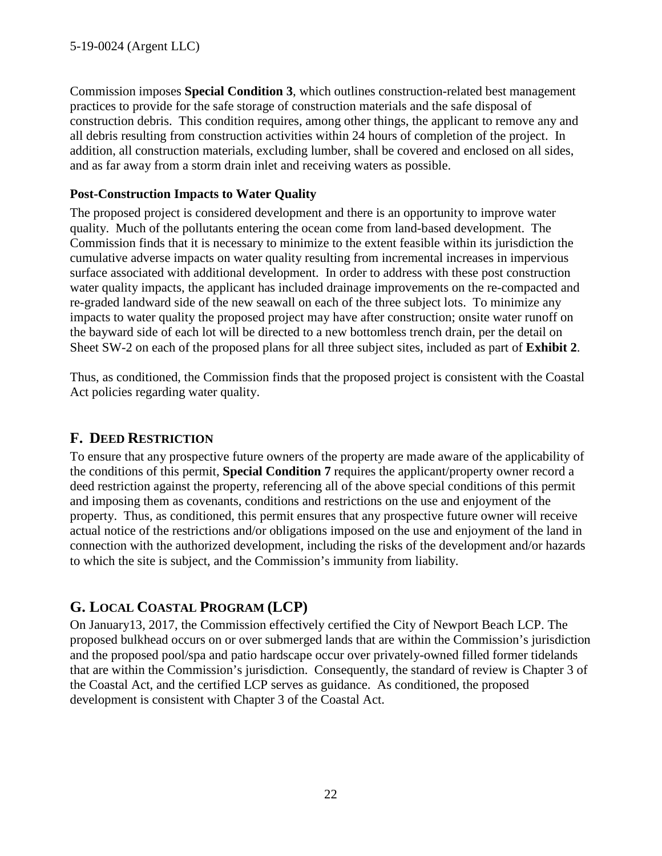Commission imposes **Special Condition 3**, which outlines construction-related best management practices to provide for the safe storage of construction materials and the safe disposal of construction debris. This condition requires, among other things, the applicant to remove any and all debris resulting from construction activities within 24 hours of completion of the project. In addition, all construction materials, excluding lumber, shall be covered and enclosed on all sides, and as far away from a storm drain inlet and receiving waters as possible.

#### **Post-Construction Impacts to Water Quality**

The proposed project is considered development and there is an opportunity to improve water quality. Much of the pollutants entering the ocean come from land-based development. The Commission finds that it is necessary to minimize to the extent feasible within its jurisdiction the cumulative adverse impacts on water quality resulting from incremental increases in impervious surface associated with additional development. In order to address with these post construction water quality impacts, the applicant has included drainage improvements on the re-compacted and re-graded landward side of the new seawall on each of the three subject lots. To minimize any impacts to water quality the proposed project may have after construction; onsite water runoff on the bayward side of each lot will be directed to a new bottomless trench drain, per the detail on Sheet SW-2 on each of the proposed plans for all three subject sites, included as part of **[Exhibit 2](https://documents.coastal.ca.gov/reports/2019/9/W26a/W26a-9-2019-exhibits.pdf)**.

Thus, as conditioned, the Commission finds that the proposed project is consistent with the Coastal Act policies regarding water quality.

### <span id="page-21-0"></span>**F. DEED RESTRICTION**

To ensure that any prospective future owners of the property are made aware of the applicability of the conditions of this permit, **Special Condition 7** requires the applicant/property owner record a deed restriction against the property, referencing all of the above special conditions of this permit and imposing them as covenants, conditions and restrictions on the use and enjoyment of the property. Thus, as conditioned, this permit ensures that any prospective future owner will receive actual notice of the restrictions and/or obligations imposed on the use and enjoyment of the land in connection with the authorized development, including the risks of the development and/or hazards to which the site is subject, and the Commission's immunity from liability.

# <span id="page-21-1"></span>**G. LOCAL COASTAL PROGRAM (LCP)**

On January13, 2017, the Commission effectively certified the City of Newport Beach LCP. The proposed bulkhead occurs on or over submerged lands that are within the Commission's jurisdiction and the proposed pool/spa and patio hardscape occur over privately-owned filled former tidelands that are within the Commission's jurisdiction. Consequently, the standard of review is Chapter 3 of the Coastal Act, and the certified LCP serves as guidance. As conditioned, the proposed development is consistent with Chapter 3 of the Coastal Act.